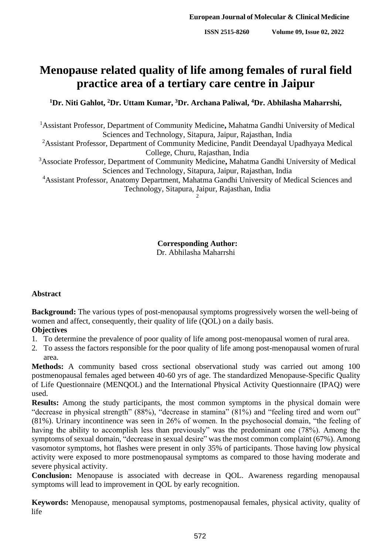# **Menopause related quality of life among females of rural field practice area of a tertiary care centre in Jaipur**

**<sup>1</sup>Dr. Niti Gahlot, <sup>2</sup>Dr. Uttam Kumar, <sup>3</sup>Dr. Archana Paliwal, <sup>4</sup>Dr. Abhilasha Maharrshi,**

<sup>1</sup>Assistant Professor, Department of Community Medicine**,** Mahatma Gandhi University of Medical Sciences and Technology, Sitapura, Jaipur, Rajasthan, India <sup>2</sup>Assistant Professor, Department of Community Medicine, Pandit Deendayal Upadhyaya Medical College, Churu, Rajasthan, India <sup>3</sup>Associate Professor, Department of Community Medicine**,** Mahatma Gandhi University of Medical Sciences and Technology, Sitapura, Jaipur, Rajasthan, India <sup>4</sup>Assistant Professor, Anatomy Department, Mahatma Gandhi University of Medical Sciences and Technology, Sitapura, Jaipur, Rajasthan, India 2

> **Corresponding Author:** Dr. Abhilasha Maharrshi

#### **Abstract**

**Background:** The various types of post-menopausal symptoms progressively worsen the well-being of women and affect, consequently, their quality of life (QOL) on a daily basis.

# **Objectives**

- 1. To determine the prevalence of poor quality of life among post-menopausal women of rural area.
- 2. To assess the factors responsible for the poor quality of life among post-menopausal women ofrural area.

**Methods:** A community based cross sectional observational study was carried out among 100 postmenopausal females aged between 40-60 yrs of age. The standardized Menopause-Specific Quality of Life Questionnaire (MENQOL) and the International Physical Activity Questionnaire (IPAQ) were used.

**Results:** Among the study participants, the most common symptoms in the physical domain were "decrease in physical strength" (88%), "decrease in stamina" (81%) and "feeling tired and worn out" (81%). Urinary incontinence was seen in 26% of women. In the psychosocial domain, "the feeling of having the ability to accomplish less than previously" was the predominant one (78%). Among the symptoms of sexual domain, "decrease in sexual desire" was the most common complaint (67%). Among vasomotor symptoms, hot flashes were present in only 35% of participants. Those having low physical activity were exposed to more postmenopausal symptoms as compared to those having moderate and severe physical activity.

**Conclusion:** Menopause is associated with decrease in QOL. Awareness regarding menopausal symptoms will lead to improvement in QOL by early recognition.

**Keywords:** Menopause, menopausal symptoms, postmenopausal females, physical activity, quality of life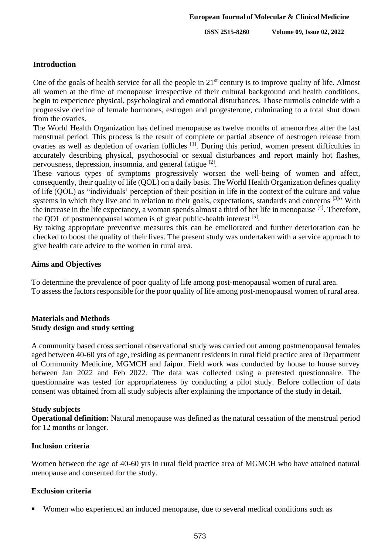## **Introduction**

One of the goals of health service for all the people in 21<sup>st</sup> century is to improve quality of life. Almost all women at the time of menopause irrespective of their cultural background and health conditions, begin to experience physical, psychological and emotional disturbances. Those turmoils coincide with a progressive decline of female hormones, estrogen and progesterone, culminating to a total shut down from the ovaries.

The World Health Organization has defined menopause as twelve months of amenorrhea after the last menstrual period. This process is the result of complete or partial absence of oestrogen release from ovaries as well as depletion of ovarian follicles <sup>[1]</sup>. During this period, women present difficulties in accurately describing physical, psychosocial or sexual disturbances and report mainly hot flashes, nervousness, depression, insomnia, and general fatigue <sup>[2]</sup>.

These various types of symptoms progressively worsen the well-being of women and affect, consequently, their quality of life (QOL) on a daily basis. The World Health Organization defines quality of life (QOL) as "individuals' perception of their position in life in the context of the culture and value systems in which they live and in relation to their goals, expectations, standards and concerns <sup>[3]</sup>" With the increase in the life expectancy, a woman spends almost a third of her life in menopause [4]. Therefore, the QOL of postmenopausal women is of great public-health interest <sup>[5]</sup>.

By taking appropriate preventive measures this can be emeliorated and further deterioration can be checked to boost the quality of their lives. The present study was undertaken with a service approach to give health care advice to the women in rural area.

## **Aims and Objectives**

To determine the prevalence of poor quality of life among post-menopausal women of rural area. To assess the factors responsible for the poor quality of life among post-menopausal women of rural area.

#### **Materials and Methods Study design and study setting**

A community based cross sectional observational study was carried out among postmenopausal females aged between 40-60 yrs of age, residing as permanent residents in rural field practice area of Department of Community Medicine, MGMCH and Jaipur. Field work was conducted by house to house survey between Jan 2022 and Feb 2022. The data was collected using a pretested questionnaire. The questionnaire was tested for appropriateness by conducting a pilot study. Before collection of data consent was obtained from all study subjects after explaining the importance of the study in detail.

#### **Study subjects**

**Operational definition:** Natural menopause was defined as the natural cessation of the menstrual period for 12 months or longer.

#### **Inclusion criteria**

Women between the age of 40-60 yrs in rural field practice area of MGMCH who have attained natural menopause and consented for the study.

# **Exclusion criteria**

Women who experienced an induced menopause, due to several medical conditions such as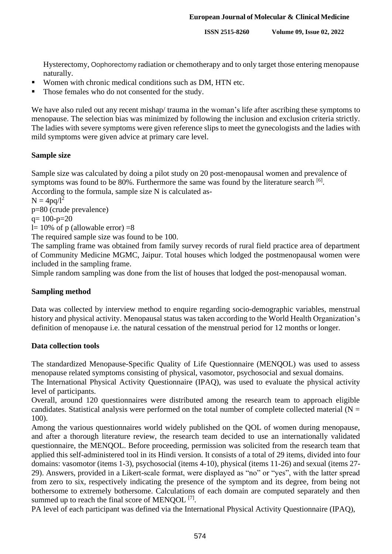Hysterectomy, Oophorectomy radiation or chemotherapy and to only target those entering menopause naturally.

- Women with chronic medical conditions such as DM, HTN etc.
- Those females who do not consented for the study.

We have also ruled out any recent mishap/ trauma in the woman's life after ascribing these symptoms to menopause. The selection bias was minimized by following the inclusion and exclusion criteria strictly. The ladies with severe symptoms were given reference slips to meet the gynecologists and the ladies with mild symptoms were given advice at primary care level.

## **Sample size**

Sample size was calculated by doing a pilot study on 20 post-menopausal women and prevalence of symptoms was found to be 80%. Furthermore the same was found by the literature search <sup>[6]</sup>. According to the formula, sample size N is calculated as-

 $N = 4pq/l^2$ 

p=80 (crude prevalence)

 $q= 100-p=20$ 

l= 10% of p (allowable error) =8

The required sample size was found to be 100.

The sampling frame was obtained from family survey records of rural field practice area of department of Community Medicine MGMC, Jaipur. Total houses which lodged the postmenopausal women were included in the sampling frame.

Simple random sampling was done from the list of houses that lodged the post-menopausal woman.

# **Sampling method**

Data was collected by interview method to enquire regarding socio-demographic variables, menstrual history and physical activity. Menopausal status was taken according to the World Health Organization's definition of menopause i.e. the natural cessation of the menstrual period for 12 months or longer.

#### **Data collection tools**

The standardized Menopause-Specific Quality of Life Questionnaire (MENQOL) was used to assess menopause related symptoms consisting of physical, vasomotor, psychosocial and sexual domains.

The International Physical Activity Questionnaire (IPAQ), was used to evaluate the physical activity level of participants.

Overall, around 120 questionnaires were distributed among the research team to approach eligible candidates. Statistical analysis were performed on the total number of complete collected material ( $N =$ 100).

Among the various questionnaires world widely published on the QOL of women during menopause, and after a thorough literature review, the research team decided to use an internationally validated questionnaire, the MENQOL. Before proceeding, permission was solicited from the research team that applied this self-administered tool in its Hindi version. It consists of a total of 29 items, divided into four domains: vasomotor (items 1-3), psychosocial (items 4-10), physical (items 11-26) and sexual (items 27- 29). Answers, provided in a Likert-scale format, were displayed as "no" or "yes", with the latter spread from zero to six, respectively indicating the presence of the symptom and its degree, from being not bothersome to extremely bothersome. Calculations of each domain are computed separately and then summed up to reach the final score of MENQOL  $^{[7]}$ .

PA level of each participant was defined via the International Physical Activity Questionnaire (IPAQ),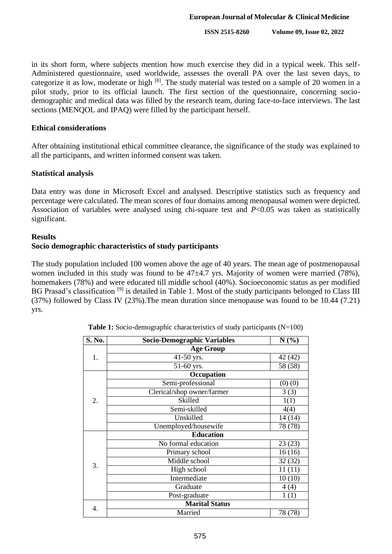in its short form, where subjects mention how much exercise they did in a typical week. This self-Administered questionnaire, used worldwide, assesses the overall PA over the last seven days, to categorize it as low, moderate or high [8]. The study material was tested on a sample of 20 women in a pilot study, prior to its official launch. The first section of the questionnaire, concerning sociodemographic and medical data was filled by the research team, during face-to-face interviews. The last sections (MENQOL and IPAQ) were filled by the participant herself.

#### **Ethical considerations**

After obtaining institutional ethical committee clearance, the significance of the study was explained to all the participants, and written informed consent was taken.

#### **Statistical analysis**

Data entry was done in Microsoft Excel and analysed. Descriptive statistics such as frequency and percentage were calculated. The mean scores of four domains among menopausal women were depicted. Association of variables were analysed using chi-square test and *P*<0.05 was taken as statistically significant.

#### **Results**

#### **Socio demographic characteristics of study participants**

The study population included 100 women above the age of 40 years. The mean age of postmenopausal women included in this study was found to be  $47\pm4.7$  yrs. Majority of women were married (78%), homemakers (78%) and were educated till middle school (40%). Socioeconomic status as per modified BG Prasad's classification <sup>[9]</sup> is detailed in Table 1. Most of the study participants belonged to Class III (37%) followed by Class IV (23%).The mean duration since menopause was found to be 10.44 (7.21) yrs.

| S. No. | <b>Socio-Demographic Variables</b> | N(%)        |  |  |  |  |  |  |
|--------|------------------------------------|-------------|--|--|--|--|--|--|
|        | <b>Age Group</b>                   |             |  |  |  |  |  |  |
| 1.     | 41-50 yrs.                         | 42 (42)     |  |  |  |  |  |  |
|        | 51-60 yrs.                         | 58 (58)     |  |  |  |  |  |  |
|        | Occupation                         |             |  |  |  |  |  |  |
|        | Semi-professional                  | $(0)$ $(0)$ |  |  |  |  |  |  |
| 2.     | Clerical/shop owner/farmer         | 3(3)        |  |  |  |  |  |  |
|        | Skilled                            | 1(1)        |  |  |  |  |  |  |
|        | Semi-skilled                       | 4(4)        |  |  |  |  |  |  |
|        | Unskilled                          | 14 (14)     |  |  |  |  |  |  |
|        | Unemployed/housewife               | 78 (78)     |  |  |  |  |  |  |
|        | <b>Education</b>                   |             |  |  |  |  |  |  |
|        | No formal education                | 23(23)      |  |  |  |  |  |  |
|        | Primary school                     | 16(16)      |  |  |  |  |  |  |
|        | Middle school                      | 32(32)      |  |  |  |  |  |  |
| 3.     | High school                        | 11(11)      |  |  |  |  |  |  |
|        | Intermediate                       | 10(10)      |  |  |  |  |  |  |
|        | Graduate                           | 4(4)        |  |  |  |  |  |  |
|        | Post-graduate                      | 1(1)        |  |  |  |  |  |  |
|        | <b>Marital Status</b>              |             |  |  |  |  |  |  |
| 4.     | Married                            | 78 (78)     |  |  |  |  |  |  |

**Table 1:** Socio-demographic characteristics of study participants (N=100)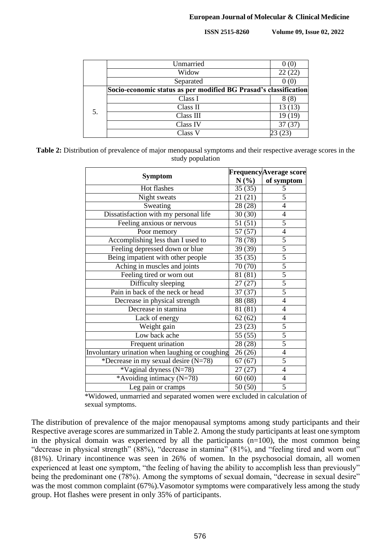|    | Unmarried                                                        |        |
|----|------------------------------------------------------------------|--------|
|    | Widow                                                            | 22(22) |
|    | Separated                                                        |        |
| 5. | Socio-economic status as per modified BG Prasad's classification |        |
|    | Class I                                                          | 8(8)   |
|    | Class II                                                         | 13(13) |
|    | Class III                                                        | 19(19) |
|    | Class IV                                                         | 37(37) |
|    | Class V                                                          |        |

**Table 2:** Distribution of prevalence of major menopausal symptoms and their respective average scores in the study population

|                                                 | <b>FrequencyAverage score</b> |                |  |  |
|-------------------------------------------------|-------------------------------|----------------|--|--|
| <b>Symptom</b>                                  | $N(\%)$                       | of symptom     |  |  |
| Hot flashes                                     | 35(35)                        | 5              |  |  |
| Night sweats                                    | 21(21)                        | 5              |  |  |
| Sweating                                        | 28 (28)                       | $\overline{4}$ |  |  |
| Dissatisfaction with my personal life           | 30(30)                        | 4              |  |  |
| Feeling anxious or nervous                      | 51(51)                        | 5              |  |  |
| Poor memory                                     | 57(57)                        | $\overline{4}$ |  |  |
| Accomplishing less than I used to               | 78 (78)                       | 5              |  |  |
| Feeling depressed down or blue                  | 39 (39)                       | 5              |  |  |
| Being impatient with other people               | 35(35)                        | 5              |  |  |
| Aching in muscles and joints                    | 70 (70)                       | 5              |  |  |
| Feeling tired or worn out                       | 81 (81)                       | 5              |  |  |
| Difficulty sleeping                             | 27(27)                        | $\overline{5}$ |  |  |
| Pain in back of the neck or head                | 37(37)                        | $\overline{5}$ |  |  |
| Decrease in physical strength                   | 88 (88)                       | $\overline{4}$ |  |  |
| Decrease in stamina                             | 81 (81)                       | $\overline{4}$ |  |  |
| Lack of energy                                  | 62(62)                        | 4              |  |  |
| Weight gain                                     | 23(23)                        | 5              |  |  |
| Low back ache                                   | 55 (55)                       | 5              |  |  |
| Frequent urination                              | 28 (28)                       | 5              |  |  |
| Involuntary urination when laughing or coughing | 26(26)                        | $\overline{4}$ |  |  |
| *Decrease in my sexual desire (N=78)            | 67(67)                        | $\overline{5}$ |  |  |
| *Vaginal dryness (N=78)                         | 27(27)                        | $\overline{4}$ |  |  |
| *Avoiding intimacy $(N=78)$                     | $\overline{60}$ (60)          | 4              |  |  |
| Leg pain or cramps                              | 50(50)                        | 5              |  |  |

\*Widowed, unmarried and separated women were excluded in calculation of sexual symptoms.

The distribution of prevalence of the major menopausal symptoms among study participants and their Respective average scores are summarized in Table 2. Among the study participants at least one symptom in the physical domain was experienced by all the participants  $(n=100)$ , the most common being "decrease in physical strength" (88%), "decrease in stamina" (81%), and "feeling tired and worn out" (81%). Urinary incontinence was seen in 26% of women. In the psychosocial domain, all women experienced at least one symptom, "the feeling of having the ability to accomplish less than previously" being the predominant one (78%). Among the symptoms of sexual domain, "decrease in sexual desire" was the most common complaint (67%). Vasomotor symptoms were comparatively less among the study group. Hot flashes were present in only 35% of participants.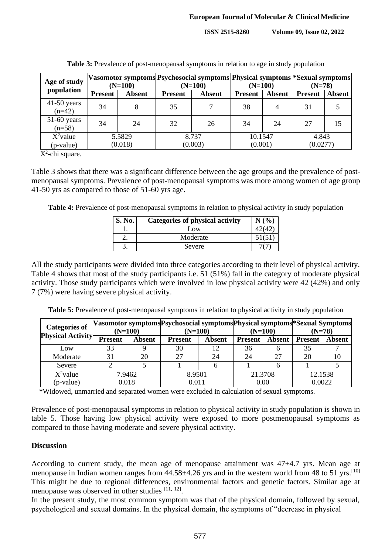| Age of study              | $(N=100)$      |               | Vasomotor symptoms Psychosocial symptoms Physical symptoms *Sexual symptoms<br>$(N=100)$ |               | $(N=100)$      |        | $(N=78)$       |               |
|---------------------------|----------------|---------------|------------------------------------------------------------------------------------------|---------------|----------------|--------|----------------|---------------|
| population                | <b>Present</b> | <b>Absent</b> | <b>Present</b>                                                                           | <b>Absent</b> | <b>Present</b> | Absent | <b>Present</b> | <b>Absent</b> |
| $41-50$ years<br>$(n=42)$ | 34             | 8             | 35                                                                                       |               | 38             | 4      | 31             |               |
| $51-60$ years<br>$(n=58)$ | 34             | 24            | 32                                                                                       | 26            | 34             | 24     | 27             | 15            |
| $X^2$ value               | 5.5829         |               | 8.737                                                                                    |               | 10.1547        |        | 4.843          |               |
| (p-value)                 | (0.018)        |               | (0.003)                                                                                  |               | (0.001)        |        | (0.0277)       |               |

**Table 3:** Prevalence of post-menopausal symptoms in relation to age in study population

 $X^2$ -chi square.

Table 3 shows that there was a significant difference between the age groups and the prevalence of postmenopausal symptoms. Prevalence of post-menopausal symptoms was more among women of age group 41-50 yrs as compared to those of 51-60 yrs age.

**Table 4:** Prevalence of post-menopausal symptoms in relation to physical activity in study population

| S. No. | <b>Categories of physical activity</b> | N(%) |
|--------|----------------------------------------|------|
|        | Low                                    |      |
|        | Moderate                               |      |
|        | Severe                                 |      |

All the study participants were divided into three categories according to their level of physical activity. Table 4 shows that most of the study participants i.e. 51 (51%) fall in the category of moderate physical activity. Those study participants which were involved in low physical activity were 42 (42%) and only 7 (7%) were having severe physical activity.

**Table 5:** Prevalence of post-menopausal symptoms in relation to physical activity in study population

|                                                   |                |               | Vasomotor symptoms Psychosocial symptoms Physical symptoms * Sexual Symptoms |               |                |               |                |        |
|---------------------------------------------------|----------------|---------------|------------------------------------------------------------------------------|---------------|----------------|---------------|----------------|--------|
| <b>Categories of</b><br><b>Physical Activity-</b> | $(N=100)$      |               | $(N=100)$                                                                    |               | $(N=100)$      |               | $(N=78)$       |        |
|                                                   | <b>Present</b> | <b>Absent</b> | <b>Present</b>                                                               | <b>Absent</b> | <b>Present</b> | <b>Absent</b> | <b>Present</b> | Absent |
| Low                                               | 33             |               | 30                                                                           | 12            | 36             |               | 35             |        |
| Moderate                                          | 31             | 20            | 27                                                                           | 24            | 24             |               | 20             |        |
| Severe                                            |                |               |                                                                              |               |                |               |                |        |
| $X^2$ value                                       | 7.9462         |               | 8.9501                                                                       |               | 21.3708        |               | 12.1538        |        |
| (p-value)                                         | 0.018          |               | 0.011                                                                        |               | 0.00           |               | 0.0022         |        |

\*Widowed, unmarried and separated women were excluded in calculation of sexual symptoms.

Prevalence of post-menopausal symptoms in relation to physical activity in study population is shown in table 5. Those having low physical activity were exposed to more postmenopausal symptoms as compared to those having moderate and severe physical activity.

#### **Discussion**

According to current study, the mean age of menopause attainment was  $47\pm4.7$  yrs. Mean age at menopause in Indian women ranges from 44.58±4.26 yrs and in the western world from 48 to 51 yrs.<sup>[10]</sup> This might be due to regional differences, environmental factors and genetic factors. Similar age at menopause was observed in other studies [11, 12].

In the present study, the most common symptom was that of the physical domain, followed by sexual, psychological and sexual domains. In the physical domain, the symptoms of "decrease in physical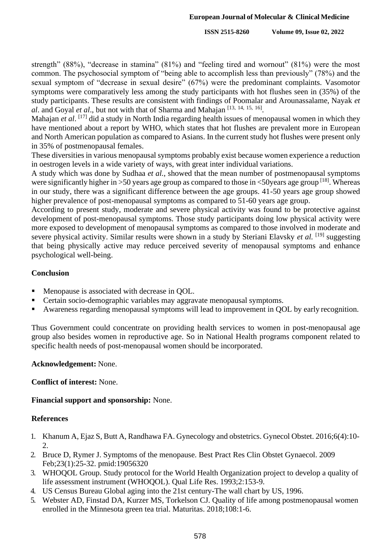strength" (88%), "decrease in stamina" (81%) and "feeling tired and wornout" (81%) were the most common. The psychosocial symptom of "being able to accomplish less than previously" (78%) and the sexual symptom of "decrease in sexual desire" (67%) were the predominant complaints. Vasomotor symptoms were comparatively less among the study participants with hot flushes seen in (35%) of the study participants. These results are consistent with findings of Poomalar and Arounassalame, Nayak *et al*. and Goyal *et al*., but not with that of Sharma and Mahajan [13, 14, 15, 16] .

Mahajan *et al*. [17] did a study in North India regarding health issues of menopausal women in which they have mentioned about a report by WHO, which states that hot flushes are prevalent more in European and North American population as compared to Asians. In the current study hot flushes were present only in 35% of postmenopausal females.

These diversities in various menopausal symptoms probably exist because women experience a reduction in oestrogen levels in a wide variety of ways, with great inter individual variations.

A study which was done by Sudhaa *et al.*, showed that the mean number of postmenopausal symptoms were significantly higher in >50 years age group as compared to those in  $\lt$ 50 years age group [18]. Whereas in our study, there was a significant difference between the age groups. 41-50 years age group showed higher prevalence of post-menopausal symptoms as compared to 51-60 years age group.

According to present study, moderate and severe physical activity was found to be protective against development of post-menopausal symptoms. Those study participants doing low physical activity were more exposed to development of menopausal symptoms as compared to those involved in moderate and severe physical activity. Similar results were shown in a study by Steriani Elavsky *et al.* [19] suggesting that being physically active may reduce perceived severity of menopausal symptoms and enhance psychological well-being.

## **Conclusion**

- Menopause is associated with decrease in OOL.
- Certain socio-demographic variables may aggravate menopausal symptoms.
- Awareness regarding menopausal symptoms will lead to improvement in QOL by early recognition.

Thus Government could concentrate on providing health services to women in post-menopausal age group also besides women in reproductive age. So in National Health programs component related to specific health needs of post-menopausal women should be incorporated.

#### **Acknowledgement:** None.

#### **Conflict of interest:** None.

#### **Financial support and sponsorship:** None.

#### **References**

- 1. Khanum A, Ejaz S, Butt A, Randhawa FA. Gynecology and obstetrics. Gynecol Obstet. 2016;6(4):10- 2.
- 2. Bruce D, Rymer J. Symptoms of the menopause. Best Pract Res Clin Obstet Gynaecol. 2009 Feb;23(1):25-32. pmid:19056320
- 3. WHOQOL Group. Study protocol for the World Health Organization project to develop a quality of life assessment instrument (WHOQOL). Qual Life Res. 1993;2:153-9.
- 4. US Census Bureau Global aging into the 21st century-The wall chart by US, 1996.
- 5. Webster AD, Finstad DA, Kurzer MS, Torkelson CJ. Quality of life among postmenopausal women enrolled in the Minnesota green tea trial. Maturitas. 2018;108:1-6.